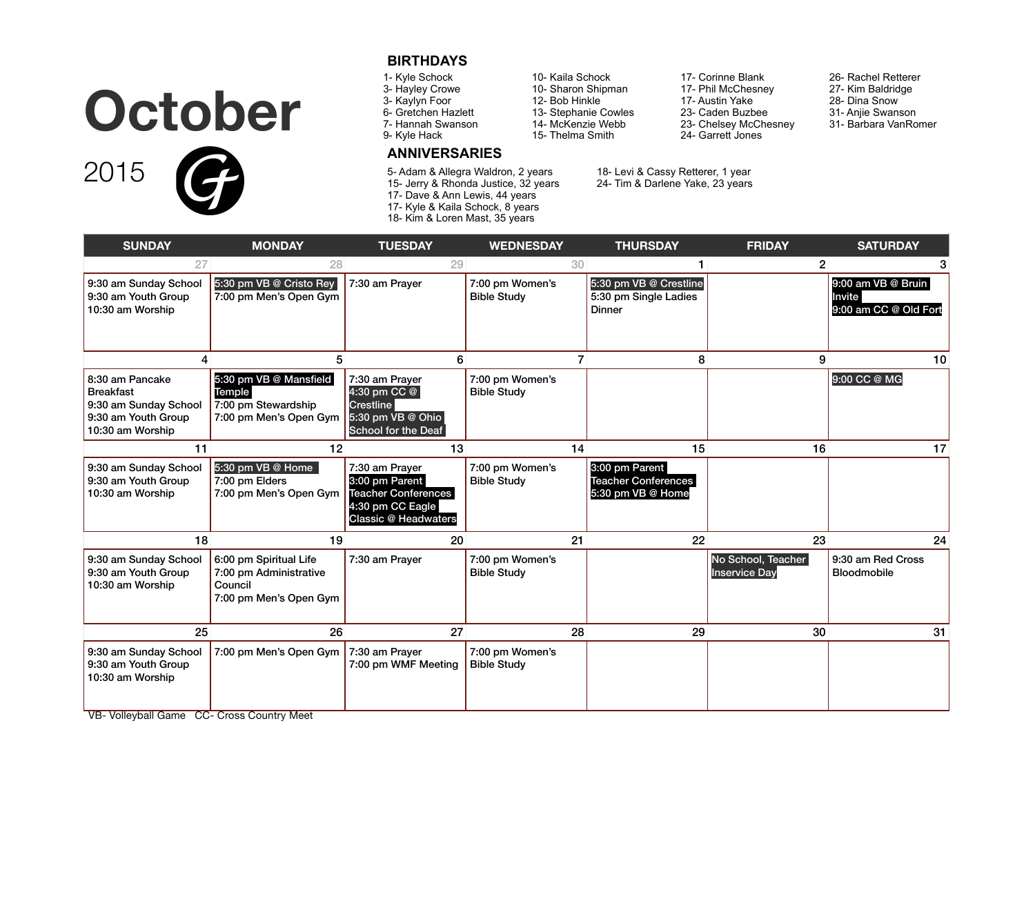## **October**



#### **BIRTHDAYS**

- 1- Kyle Schock
- 3- Hayley Crowe
- 3- Kaylyn Foor
- 6- Gretchen Hazlett
- 7- Hannah Swanson 9- Kyle Hack

### **ANNIVERSARIES**

- 5- Adam & Allegra Waldron, 2 years 15- Jerry & Rhonda Justice, 32 years 17- Dave & Ann Lewis, 44 years 17- Kyle & Kaila Schock, 8 years 18- Kim & Loren Mast, 35 years
- 10- Kaila Schock 10- Sharon Shipman 12- Bob Hinkle 13- Stephanie Cowles

14- McKenzie Webb 15- Thelma Smith

- 17- Corinne Blank 17- Phil McChesney 17- Austin Yake 23- Caden Buzbee 23- Chelsey McChesney 24- Garrett Jones
	- 27- Kim Baldridge 28- Dina Snow 31- Anjie Swanson
		- 31- Barbara VanRomer

26- Rachel Retterer

18- Levi & Cassy Retterer, 1 year

24- Tim & Darlene Yake, 23 years

| 27                                                                                                      | 28                                                                                    | 29                                                                                                                | 30                                    |                                                                   | $\overline{2}$                             | 3                                                     |
|---------------------------------------------------------------------------------------------------------|---------------------------------------------------------------------------------------|-------------------------------------------------------------------------------------------------------------------|---------------------------------------|-------------------------------------------------------------------|--------------------------------------------|-------------------------------------------------------|
| 9:30 am Sunday School<br>9:30 am Youth Group<br>10:30 am Worship                                        | 5:30 pm VB @ Cristo Rey<br>7:00 pm Men's Open Gym                                     | 7:30 am Prayer                                                                                                    | 7:00 pm Women's<br><b>Bible Study</b> | 5:30 pm VB @ Crestline<br>5:30 pm Single Ladies<br><b>Dinner</b>  |                                            | 9:00 am VB @ Bruin<br>Invite<br>9:00 am CC @ Old Fort |
| 4                                                                                                       | 5                                                                                     | 6                                                                                                                 | $\overline{7}$                        | 8                                                                 | 9                                          | 10                                                    |
| 8:30 am Pancake<br><b>Breakfast</b><br>9:30 am Sunday School<br>9:30 am Youth Group<br>10:30 am Worship | 5:30 pm VB @ Mansfield<br>Temple<br>7:00 pm Stewardship<br>7:00 pm Men's Open Gym     | 7:30 am Prayer<br>4:30 pm CC @<br><b>Crestline</b><br>5:30 pm VB @ Ohio<br><b>School for the Deaf</b>             | 7:00 pm Women's<br><b>Bible Study</b> |                                                                   |                                            | 9:00 CC @ MG                                          |
| 11                                                                                                      | 12                                                                                    | 13                                                                                                                | 14                                    | 15                                                                | 16                                         | 17                                                    |
| 9:30 am Sunday School<br>9:30 am Youth Group<br>10:30 am Worship                                        | 5:30 pm VB @ Home<br>7:00 pm Elders<br>7:00 pm Men's Open Gym                         | 7:30 am Prayer<br>3:00 pm Parent<br><b>Teacher Conferences</b><br>4:30 pm CC Eagle<br><b>Classic @ Headwaters</b> | 7:00 pm Women's<br><b>Bible Study</b> | 3:00 pm Parent<br><b>Teacher Conferences</b><br>5:30 pm VB @ Home |                                            |                                                       |
| 18                                                                                                      | 19                                                                                    | 20                                                                                                                | 21                                    | 22                                                                | 23                                         | 24                                                    |
| 9:30 am Sunday School<br>9:30 am Youth Group<br>10:30 am Worship                                        | 6:00 pm Spiritual Life<br>7:00 pm Administrative<br>Council<br>7:00 pm Men's Open Gym | 7:30 am Prayer                                                                                                    | 7:00 pm Women's<br><b>Bible Study</b> |                                                                   | No School, Teacher<br><b>Inservice Day</b> | 9:30 am Red Cross<br><b>Bloodmobile</b>               |
| 25                                                                                                      | 26                                                                                    | 27                                                                                                                | 28                                    | 29                                                                | 30                                         | 31                                                    |
| 9:30 am Sunday School<br>9:30 am Youth Group<br>10:30 am Worship                                        | 7:00 pm Men's Open Gym                                                                | 7:30 am Prayer<br>7:00 pm WMF Meeting                                                                             | 7:00 pm Women's<br><b>Bible Study</b> |                                                                   |                                            |                                                       |

**SUNDAY MONDAY TUESDAY WEDNESDAY THURSDAY FRIDAY SATURDAY**

VB- Volleyball Game CC- Cross Country Meet